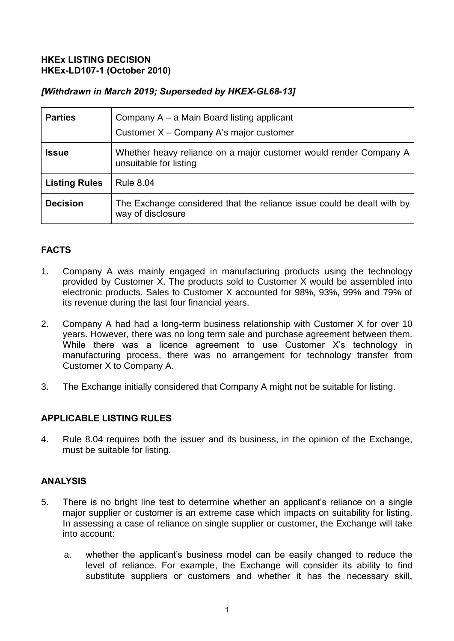#### **HKEx LISTING DECISION HKEx-LD107-1 (October 2010)**

## *[Withdrawn in March 2019; Superseded by HKEX-GL68-13]*

| <b>Parties</b>       | Company A – a Main Board listing applicant                                                  |
|----------------------|---------------------------------------------------------------------------------------------|
|                      | Customer X – Company A's major customer                                                     |
| <b>Issue</b>         | Whether heavy reliance on a major customer would render Company A<br>unsuitable for listing |
| <b>Listing Rules</b> | <b>Rule 8.04</b>                                                                            |
| <b>Decision</b>      | The Exchange considered that the reliance issue could be dealt with by<br>way of disclosure |

# **FACTS**

- 1. Company A was mainly engaged in manufacturing products using the technology provided by Customer X. The products sold to Customer X would be assembled into electronic products. Sales to Customer X accounted for 98%, 93%, 99% and 79% of its revenue during the last four financial years.
- 2. Company A had had a long-term business relationship with Customer X for over 10 years. However, there was no long term sale and purchase agreement between them. While there was a licence agreement to use Customer X's technology in manufacturing process, there was no arrangement for technology transfer from Customer X to Company A.
- 3. The Exchange initially considered that Company A might not be suitable for listing.

### **APPLICABLE LISTING RULES**

4. Rule 8.04 requires both the issuer and its business, in the opinion of the Exchange, must be suitable for listing.

### **ANALYSIS**

- 5. There is no bright line test to determine whether an applicant's reliance on a single major supplier or customer is an extreme case which impacts on suitability for listing. In assessing a case of reliance on single supplier or customer, the Exchange will take into account:
	- a. whether the applicant's business model can be easily changed to reduce the level of reliance. For example, the Exchange will consider its ability to find substitute suppliers or customers and whether it has the necessary skill,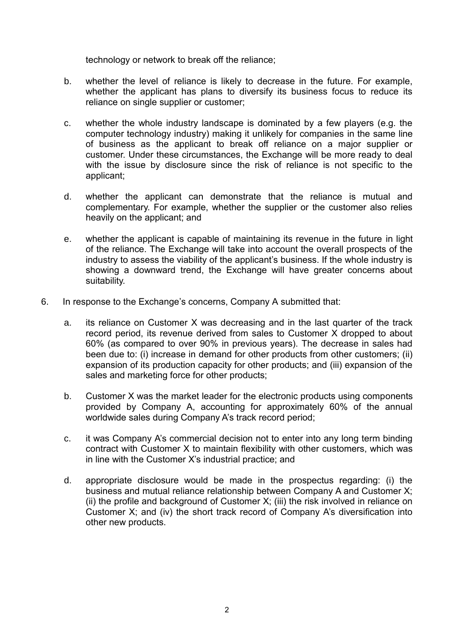technology or network to break off the reliance;

- b. whether the level of reliance is likely to decrease in the future. For example, whether the applicant has plans to diversify its business focus to reduce its reliance on single supplier or customer;
- c. whether the whole industry landscape is dominated by a few players (e.g. the computer technology industry) making it unlikely for companies in the same line of business as the applicant to break off reliance on a major supplier or customer. Under these circumstances, the Exchange will be more ready to deal with the issue by disclosure since the risk of reliance is not specific to the applicant;
- d. whether the applicant can demonstrate that the reliance is mutual and complementary. For example, whether the supplier or the customer also relies heavily on the applicant; and
- e. whether the applicant is capable of maintaining its revenue in the future in light of the reliance. The Exchange will take into account the overall prospects of the industry to assess the viability of the applicant's business. If the whole industry is showing a downward trend, the Exchange will have greater concerns about suitability.
- 6. In response to the Exchange's concerns, Company A submitted that:
	- a. its reliance on Customer X was decreasing and in the last quarter of the track record period, its revenue derived from sales to Customer X dropped to about 60% (as compared to over 90% in previous years). The decrease in sales had been due to: (i) increase in demand for other products from other customers; (ii) expansion of its production capacity for other products; and (iii) expansion of the sales and marketing force for other products;
	- b. Customer X was the market leader for the electronic products using components provided by Company A, accounting for approximately 60% of the annual worldwide sales during Company A's track record period;
	- c. it was Company A's commercial decision not to enter into any long term binding contract with Customer X to maintain flexibility with other customers, which was in line with the Customer X's industrial practice; and
	- d. appropriate disclosure would be made in the prospectus regarding: (i) the business and mutual reliance relationship between Company A and Customer X; (ii) the profile and background of Customer X; (iii) the risk involved in reliance on Customer X; and (iv) the short track record of Company A's diversification into other new products.